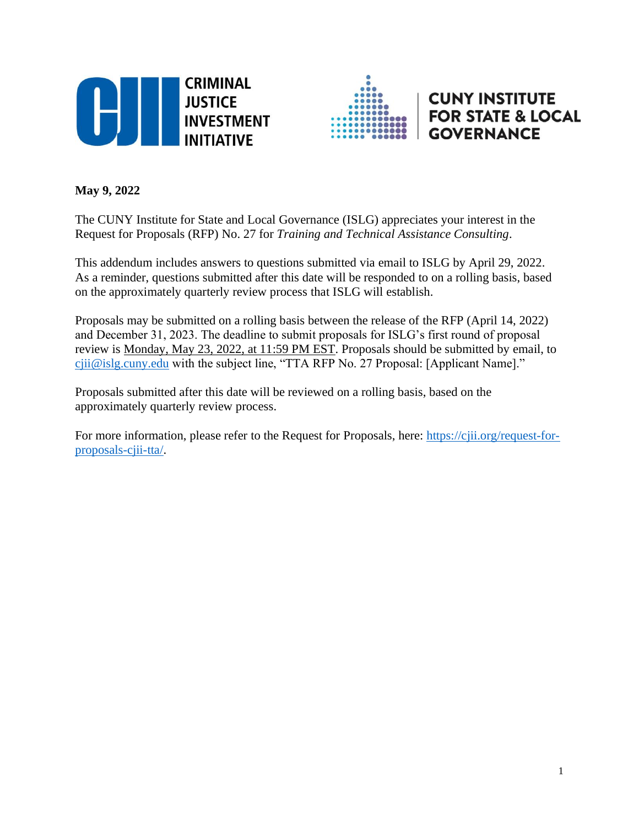



# **CUNY INSTITUTE FOR STATE & LOCAL GOVERNANCE**

# **May 9, 2022**

The CUNY Institute for State and Local Governance (ISLG) appreciates your interest in the Request for Proposals (RFP) No. 27 for *Training and Technical Assistance Consulting*.

This addendum includes answers to questions submitted via email to ISLG by April 29, 2022. As a reminder, questions submitted after this date will be responded to on a rolling basis, based on the approximately quarterly review process that ISLG will establish.

Proposals may be submitted on a rolling basis between the release of the RFP (April 14, 2022) and December 31, 2023. The deadline to submit proposals for ISLG's first round of proposal review is Monday, May 23, 2022, at 11:59 PM EST. Proposals should be submitted by email, to [cjii@islg.cuny.edu](mailto:cjii@islg.cuny.edu) with the subject line, "TTA RFP No. 27 Proposal: [Applicant Name]."

Proposals submitted after this date will be reviewed on a rolling basis, based on the approximately quarterly review process.

For more information, please refer to the Request for Proposals, here: [https://cjii.org/request-for](https://cjii.org/request-for-proposals-cjii-tta/)[proposals-cjii-tta/.](https://cjii.org/request-for-proposals-cjii-tta/)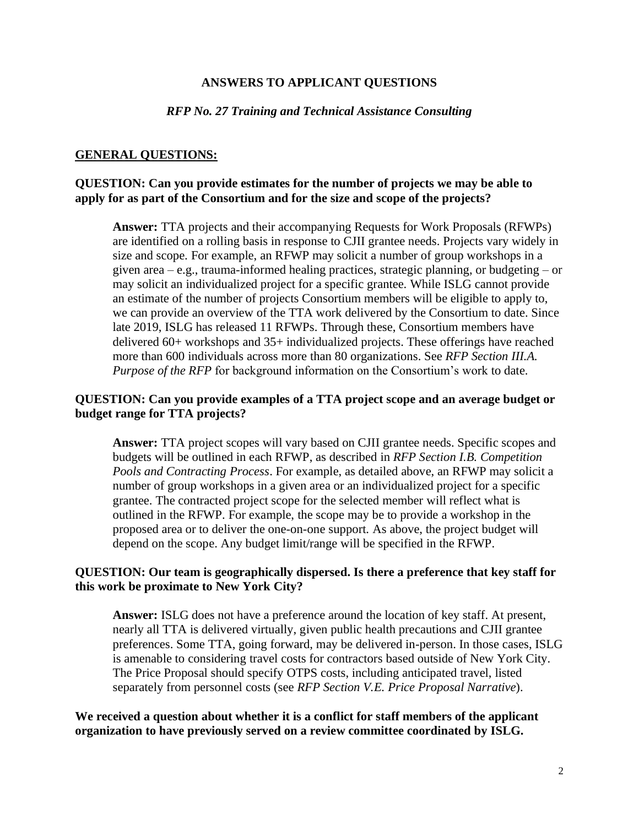#### **ANSWERS TO APPLICANT QUESTIONS**

#### *RFP No. 27 Training and Technical Assistance Consulting*

#### **GENERAL QUESTIONS:**

## **QUESTION: Can you provide estimates for the number of projects we may be able to apply for as part of the Consortium and for the size and scope of the projects?**

**Answer:** TTA projects and their accompanying Requests for Work Proposals (RFWPs) are identified on a rolling basis in response to CJII grantee needs. Projects vary widely in size and scope. For example, an RFWP may solicit a number of group workshops in a given area – e.g., trauma-informed healing practices, strategic planning, or budgeting – or may solicit an individualized project for a specific grantee. While ISLG cannot provide an estimate of the number of projects Consortium members will be eligible to apply to, we can provide an overview of the TTA work delivered by the Consortium to date. Since late 2019, ISLG has released 11 RFWPs. Through these, Consortium members have delivered 60+ workshops and 35+ individualized projects. These offerings have reached more than 600 individuals across more than 80 organizations. See *RFP Section III.A. Purpose of the RFP* for background information on the Consortium's work to date.

#### **QUESTION: Can you provide examples of a TTA project scope and an average budget or budget range for TTA projects?**

**Answer:** TTA project scopes will vary based on CJII grantee needs. Specific scopes and budgets will be outlined in each RFWP, as described in *RFP Section I.B. Competition Pools and Contracting Process*. For example, as detailed above, an RFWP may solicit a number of group workshops in a given area or an individualized project for a specific grantee. The contracted project scope for the selected member will reflect what is outlined in the RFWP. For example, the scope may be to provide a workshop in the proposed area or to deliver the one-on-one support. As above, the project budget will depend on the scope. Any budget limit/range will be specified in the RFWP.

#### **QUESTION: Our team is geographically dispersed. Is there a preference that key staff for this work be proximate to New York City?**

**Answer:** ISLG does not have a preference around the location of key staff. At present, nearly all TTA is delivered virtually, given public health precautions and CJII grantee preferences. Some TTA, going forward, may be delivered in-person. In those cases, ISLG is amenable to considering travel costs for contractors based outside of New York City. The Price Proposal should specify OTPS costs, including anticipated travel, listed separately from personnel costs (see *RFP Section V.E. Price Proposal Narrative*).

**We received a question about whether it is a conflict for staff members of the applicant organization to have previously served on a review committee coordinated by ISLG.**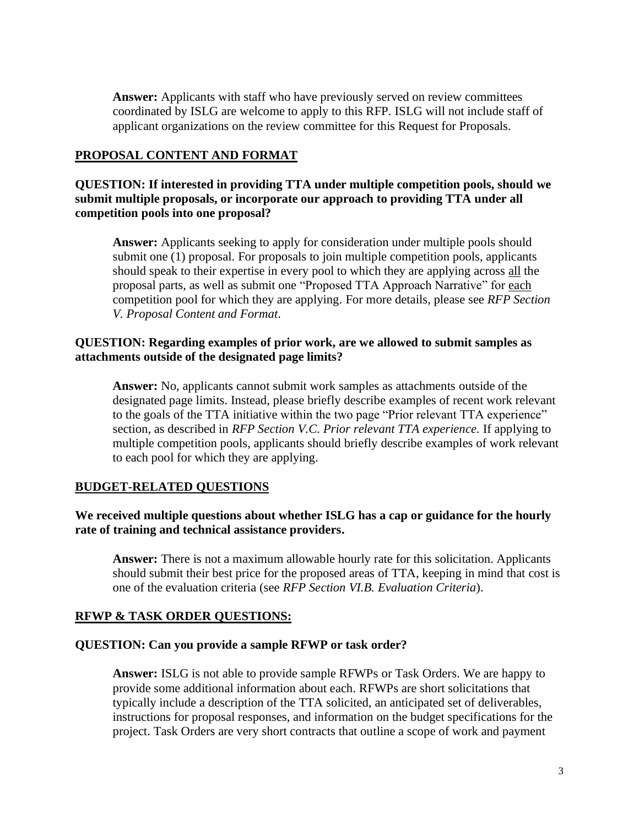**Answer:** Applicants with staff who have previously served on review committees coordinated by ISLG are welcome to apply to this RFP. ISLG will not include staff of applicant organizations on the review committee for this Request for Proposals.

## **PROPOSAL CONTENT AND FORMAT**

**QUESTION: If interested in providing TTA under multiple competition pools, should we submit multiple proposals, or incorporate our approach to providing TTA under all competition pools into one proposal?**

**Answer:** Applicants seeking to apply for consideration under multiple pools should submit one (1) proposal. For proposals to join multiple competition pools, applicants should speak to their expertise in every pool to which they are applying across all the proposal parts, as well as submit one "Proposed TTA Approach Narrative" for each competition pool for which they are applying. For more details, please see *RFP Section V. Proposal Content and Format*.

### **QUESTION: Regarding examples of prior work, are we allowed to submit samples as attachments outside of the designated page limits?**

**Answer:** No, applicants cannot submit work samples as attachments outside of the designated page limits. Instead, please briefly describe examples of recent work relevant to the goals of the TTA initiative within the two page "Prior relevant TTA experience" section, as described in *RFP Section V.C. Prior relevant TTA experience.* If applying to multiple competition pools, applicants should briefly describe examples of work relevant to each pool for which they are applying.

#### **BUDGET-RELATED QUESTIONS**

## **We received multiple questions about whether ISLG has a cap or guidance for the hourly rate of training and technical assistance providers.**

**Answer:** There is not a maximum allowable hourly rate for this solicitation. Applicants should submit their best price for the proposed areas of TTA, keeping in mind that cost is one of the evaluation criteria (see *RFP Section VI.B. Evaluation Criteria*).

#### **RFWP & TASK ORDER QUESTIONS:**

#### **QUESTION: Can you provide a sample RFWP or task order?**

**Answer:** ISLG is not able to provide sample RFWPs or Task Orders. We are happy to provide some additional information about each. RFWPs are short solicitations that typically include a description of the TTA solicited, an anticipated set of deliverables, instructions for proposal responses, and information on the budget specifications for the project. Task Orders are very short contracts that outline a scope of work and payment